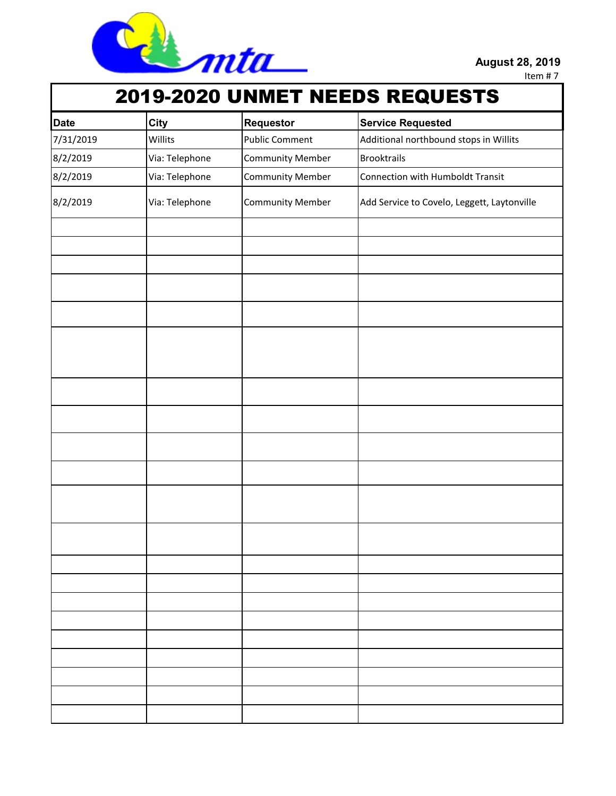

Item # 7

## 2019-2020 UNMET NEEDS REQUESTS

| <b>Date</b> | City           | Requestor               | <b>Service Requested</b>                    |
|-------------|----------------|-------------------------|---------------------------------------------|
| 7/31/2019   | Willits        | <b>Public Comment</b>   | Additional northbound stops in Willits      |
| 8/2/2019    | Via: Telephone | <b>Community Member</b> | <b>Brooktrails</b>                          |
| 8/2/2019    | Via: Telephone | <b>Community Member</b> | <b>Connection with Humboldt Transit</b>     |
| 8/2/2019    | Via: Telephone | <b>Community Member</b> | Add Service to Covelo, Leggett, Laytonville |
|             |                |                         |                                             |
|             |                |                         |                                             |
|             |                |                         |                                             |
|             |                |                         |                                             |
|             |                |                         |                                             |
|             |                |                         |                                             |
|             |                |                         |                                             |
|             |                |                         |                                             |
|             |                |                         |                                             |
|             |                |                         |                                             |
|             |                |                         |                                             |
|             |                |                         |                                             |
|             |                |                         |                                             |
|             |                |                         |                                             |
|             |                |                         |                                             |
|             |                |                         |                                             |
|             |                |                         |                                             |
|             |                |                         |                                             |
|             |                |                         |                                             |
|             |                |                         |                                             |
|             |                |                         |                                             |